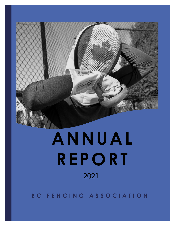

# **ANNUAL REPORT 2021** 2021

**B C F E N C I N G A S S O C I A T I O N**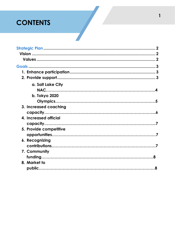# **CONTENTS**

| a. Salt Lake City      |  |
|------------------------|--|
|                        |  |
| b. Tokyo 2020          |  |
|                        |  |
| 3. Increased coaching  |  |
|                        |  |
| 4. Increased official  |  |
|                        |  |
| 5. Provide competitive |  |
|                        |  |
| 6. Recognizing         |  |
|                        |  |
| 7. Community           |  |
|                        |  |
| 8. Market to           |  |
|                        |  |
|                        |  |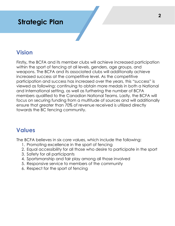## **Strategic Plan**

## **Vision**

Firstly**,** the BCFA and its member clubs will achieve increased participation within the sport of fencing at all levels, genders, age groups, and weapons. The BCFA and its associated clubs will additionally achieve increased success at the competitive level. As the competitive participation and success has increased over the years, this "success" is viewed as following: continuing to obtain more medals in both a National and International setting, as well as furthering the number of BCFA members qualified to the Canadian National Teams. Lastly, the BCFA will focus on securing funding from a multitude of sources and will additionally ensure that greater than 70% of revenue received is utilized directly towards the BC fencing community.

## **Values**

The BCFA believes in six core values, which include the following:

- 1. Promoting excellence in the sport of fencing
- 2. Equal accessibility for all those who desire to participate in the sport
- 3. Safety for all participants
- 4. Sportsmanship and fair play among all those involved
- 5. Responsive service to members of the community
- 6. Respect for the sport of fencing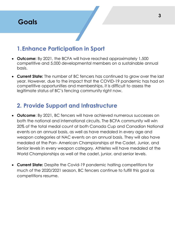

## **1.Enhance Participation in Sport**

- **Outcome:** By 2021, the BCFA will have reached approximately 1,500 competitive and 5,000 developmental members on a sustainable annual basis.
- **Current State:** The number of BC fencers has continued to grow over the last year. However, due to the impact that the COVID-19 pandemic has had on competitive opportunities and memberships, it is difficult to assess the legitimate status of BC's fencing community right now.

## **2. Provide Support and Infrastructure**

- **Outcome**: By 2021, BC fencers will have achieved numerous successes on both the national and international circuits. The BCFA community will win 20% of the total medal count at both Canada Cup and Canadian National events on an annual basis, as well as have medaled in every age and weapon categories at NAC events on an annual basis. They will also have medaled at the Pan- American Championships at the Cadet, Junior, and Senior levels in every weapon category. Athletes will have medaled at the World Championships as well at the cadet, junior, and senior levels.
- **Current State:** Despite the Covid-19 pandemic halting competitions for much of the 2020/2021 season, BC fencers continue to fulfill this goal as competitions resume.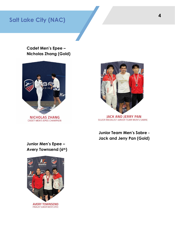## **Salt Lake City (NAC)**

**Cadet Men's Epee – Nicholas Zhang (Gold)**





SILVER MEDALIST JUNIOR TEAM MEN'S SABRE

**Junior Team Men's Sabre - Jack and Jerry Pan (Gold)**

**Junior Men's Epee – Avery Townsend (6th)**

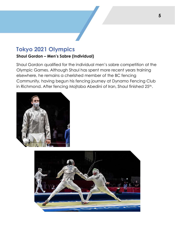## **Tokyo 2021 Olympics**

#### **Shaul Gordon – Men's Sabre (Individual)**

Shaul Gordon qualified for the individual men's sabre competition at the Olympic Games. Although Shaul has spent more recent years training elsewhere, he remains a cherished member of the BC fencing Community, having begun his fencing journey at Dynamo Fencing Club in Richmond. After fencing Mojtaba Abedini of Iran, Shaul finished 25<sup>th</sup>.



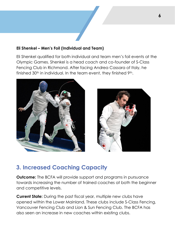#### **Eli Shenkel – Men's Foil (Individual and Team)**

Eli Shenkel qualified for both individual and team men's foil events at the Olympic Games. Shenkel is a head coach and co-founder of S-Class Fencing Club in Richmond. After facing Andrea Cassara of Italy, he finished 30<sup>th</sup> in individual. In the team event, they finished 9<sup>th</sup>.





## **3. Increased Coaching Capacity**

**Outcome:** The BCFA will provide support and programs in pursuance towards increasing the number of trained coaches at both the beginner and competitive levels.

**Current State:** During the past fiscal year, multiple new clubs have opened within the Lower Mainland. These clubs include S-Class Fencing, Vancouver Fencing Club and Lion & Sun Fencing Club. The BCFA has also seen an increase in new coaches within existing clubs.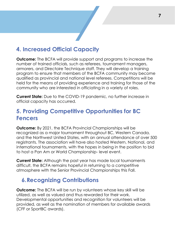

## **4. Increased Official Capacity**

**Outcome:** The BCFA will provide support and programs to increase the number of trained officials, such as referees, tournament managers, armorers, and Directoire Technique staff. They will develop a training program to ensure that members of the BCFA community may become qualified as provincial and national level referees. Competitions will be held for the means of providing experience and training for those of the community who are interested in officiating in a variety of roles.

**Current State:** Due to the COVID-19 pandemic, no further increase in official capacity has occurred.

## **5. Providing Competitive Opportunities for BC Fencers**

**Outcome:** By 2021, the BCFA Provincial Championships will be recognized as a major tournament throughout BC, Western Canada, and the Northwest United States, with an annual attendance of over 500 registrants. The association will have also hosted Western, National, and international tournaments, with the hopes in being in the position to bid to host a Pan Am or World Championship- level event.

**Current State:** Although the past year has made local tournaments difficult, the BCFA remains hopeful in returning to a competitive atmosphere with the Senior Provincial Championships this Fall.

## **6.Recognizing Contributions**

**Outcome:** The BCFA will be run by volunteers whose key skill will be utilized, as well as valued and thus rewarded for their work. Developmental opportunities and recognition for volunteers will be provided, as well as the nomination of members for available awards (CFF or SportBC awards).